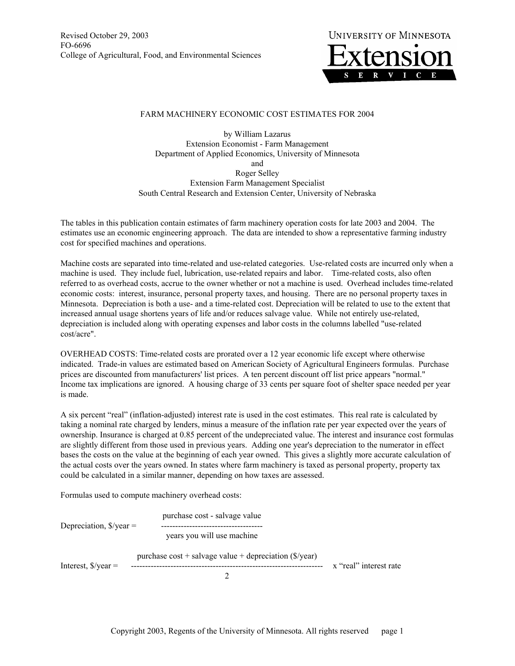Revised October 29, 2003 FO-6696 College of Agricultural, Food, and Environmental Sciences



## FARM MACHINERY ECONOMIC COST ESTIMATES FOR 2004

by William Lazarus Extension Economist - Farm Management Department of Applied Economics, University of Minnesota and Roger Selley Extension Farm Management Specialist South Central Research and Extension Center, University of Nebraska

The tables in this publication contain estimates of farm machinery operation costs for late 2003 and 2004. The estimates use an economic engineering approach. The data are intended to show a representative farming industry cost for specified machines and operations.

Machine costs are separated into time-related and use-related categories. Use-related costs are incurred only when a machine is used. They include fuel, lubrication, use-related repairs and labor. Time-related costs, also often referred to as overhead costs, accrue to the owner whether or not a machine is used. Overhead includes time-related economic costs: interest, insurance, personal property taxes, and housing. There are no personal property taxes in Minnesota. Depreciation is both a use- and a time-related cost. Depreciation will be related to use to the extent that increased annual usage shortens years of life and/or reduces salvage value. While not entirely use-related, depreciation is included along with operating expenses and labor costs in the columns labelled "use-related cost/acre".

OVERHEAD COSTS: Time-related costs are prorated over a 12 year economic life except where otherwise indicated. Trade-in values are estimated based on American Society of Agricultural Engineers formulas. Purchase prices are discounted from manufacturers' list prices. A ten percent discount off list price appears "normal." Income tax implications are ignored. A housing charge of 33 cents per square foot of shelter space needed per year is made.

A six percent "real" (inflation-adjusted) interest rate is used in the cost estimates. This real rate is calculated by taking a nominal rate charged by lenders, minus a measure of the inflation rate per year expected over the years of ownership. Insurance is charged at 0.85 percent of the undepreciated value. The interest and insurance cost formulas are slightly different from those used in previous years. Adding one year's depreciation to the numerator in effect bases the costs on the value at the beginning of each year owned. This gives a slightly more accurate calculation of the actual costs over the years owned. In states where farm machinery is taxed as personal property, property tax could be calculated in a similar manner, depending on how taxes are assessed.

Formulas used to compute machinery overhead costs:

 purchase cost - salvage value Depreciation, \$/year = ----------------------------------- years you will use machine purchase  $cost +$  salvage value + depreciation ( $\sqrt{s}$ /year) Interest,  $\frac{s}{v}$  =  $\frac{\cdots}{s}$  =  $\cdots$  =  $\cdots$  =  $\cdots$  =  $\cdots$  =  $\cdots$  =  $\cdots$  =  $\cdots$  =  $\cdots$  =  $\cdots$   $\cdots$   $\cdots$   $\cdots$   $\cdots$   $\cdots$   $\cdots$   $\cdots$   $\cdots$   $\cdots$   $\cdots$   $\cdots$   $\cdots$   $\cdots$   $\cdots$   $\cdots$   $\cdots$   $\cdots$   $\cdots$   $\cdots$   $\cd$ 2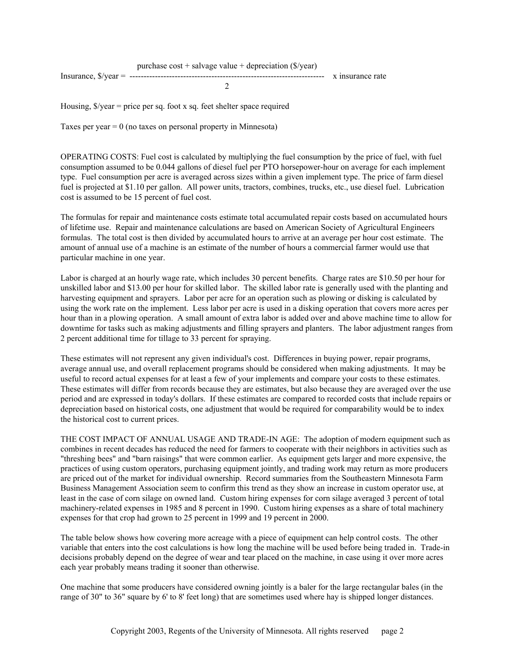Housing,  $\frac{f}{g}$  /year = price per sq. foot x sq. feet shelter space required

Taxes per year  $= 0$  (no taxes on personal property in Minnesota)

OPERATING COSTS: Fuel cost is calculated by multiplying the fuel consumption by the price of fuel, with fuel consumption assumed to be 0.044 gallons of diesel fuel per PTO horsepower-hour on average for each implement type. Fuel consumption per acre is averaged across sizes within a given implement type. The price of farm diesel fuel is projected at \$1.10 per gallon. All power units, tractors, combines, trucks, etc., use diesel fuel. Lubrication cost is assumed to be 15 percent of fuel cost.

The formulas for repair and maintenance costs estimate total accumulated repair costs based on accumulated hours of lifetime use. Repair and maintenance calculations are based on American Society of Agricultural Engineers formulas. The total cost is then divided by accumulated hours to arrive at an average per hour cost estimate. The amount of annual use of a machine is an estimate of the number of hours a commercial farmer would use that particular machine in one year.

Labor is charged at an hourly wage rate, which includes 30 percent benefits. Charge rates are \$10.50 per hour for unskilled labor and \$13.00 per hour for skilled labor. The skilled labor rate is generally used with the planting and harvesting equipment and sprayers. Labor per acre for an operation such as plowing or disking is calculated by using the work rate on the implement. Less labor per acre is used in a disking operation that covers more acres per hour than in a plowing operation. A small amount of extra labor is added over and above machine time to allow for downtime for tasks such as making adjustments and filling sprayers and planters. The labor adjustment ranges from 2 percent additional time for tillage to 33 percent for spraying.

These estimates will not represent any given individual's cost. Differences in buying power, repair programs, average annual use, and overall replacement programs should be considered when making adjustments. It may be useful to record actual expenses for at least a few of your implements and compare your costs to these estimates. These estimates will differ from records because they are estimates, but also because they are averaged over the use period and are expressed in today's dollars. If these estimates are compared to recorded costs that include repairs or depreciation based on historical costs, one adjustment that would be required for comparability would be to index the historical cost to current prices.

THE COST IMPACT OF ANNUAL USAGE AND TRADE-IN AGE: The adoption of modern equipment such as combines in recent decades has reduced the need for farmers to cooperate with their neighbors in activities such as "threshing bees" and "barn raisings" that were common earlier. As equipment gets larger and more expensive, the practices of using custom operators, purchasing equipment jointly, and trading work may return as more producers are priced out of the market for individual ownership. Record summaries from the Southeastern Minnesota Farm Business Management Association seem to confirm this trend as they show an increase in custom operator use, at least in the case of corn silage on owned land. Custom hiring expenses for corn silage averaged 3 percent of total machinery-related expenses in 1985 and 8 percent in 1990. Custom hiring expenses as a share of total machinery expenses for that crop had grown to 25 percent in 1999 and 19 percent in 2000.

The table below shows how covering more acreage with a piece of equipment can help control costs. The other variable that enters into the cost calculations is how long the machine will be used before being traded in. Trade-in decisions probably depend on the degree of wear and tear placed on the machine, in case using it over more acres each year probably means trading it sooner than otherwise.

One machine that some producers have considered owning jointly is a baler for the large rectangular bales (in the range of 30" to 36" square by 6' to 8' feet long) that are sometimes used where hay is shipped longer distances.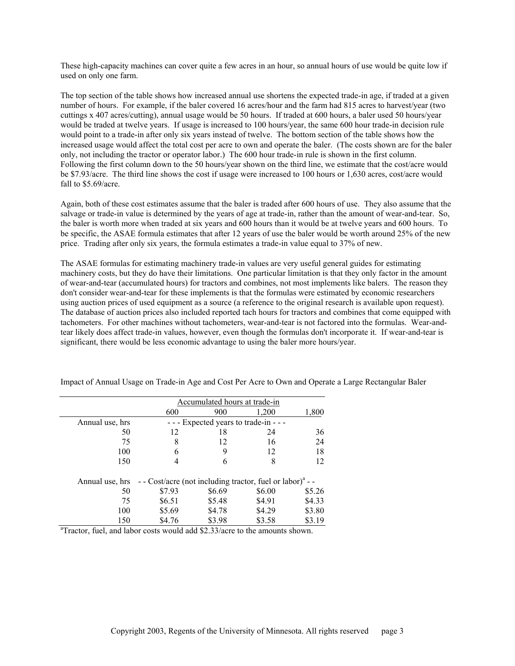These high-capacity machines can cover quite a few acres in an hour, so annual hours of use would be quite low if used on only one farm.

The top section of the table shows how increased annual use shortens the expected trade-in age, if traded at a given number of hours. For example, if the baler covered 16 acres/hour and the farm had 815 acres to harvest/year (two cuttings x 407 acres/cutting), annual usage would be 50 hours. If traded at 600 hours, a baler used 50 hours/year would be traded at twelve years. If usage is increased to 100 hours/year, the same 600 hour trade-in decision rule would point to a trade-in after only six years instead of twelve. The bottom section of the table shows how the increased usage would affect the total cost per acre to own and operate the baler. (The costs shown are for the baler only, not including the tractor or operator labor.) The 600 hour trade-in rule is shown in the first column. Following the first column down to the 50 hours/year shown on the third line, we estimate that the cost/acre would be \$7.93/acre. The third line shows the cost if usage were increased to 100 hours or 1,630 acres, cost/acre would fall to \$5.69/acre.

Again, both of these cost estimates assume that the baler is traded after 600 hours of use. They also assume that the salvage or trade-in value is determined by the years of age at trade-in, rather than the amount of wear-and-tear. So, the baler is worth more when traded at six years and 600 hours than it would be at twelve years and 600 hours. To be specific, the ASAE formula estimates that after 12 years of use the baler would be worth around 25% of the new price. Trading after only six years, the formula estimates a trade-in value equal to 37% of new.

The ASAE formulas for estimating machinery trade-in values are very useful general guides for estimating machinery costs, but they do have their limitations. One particular limitation is that they only factor in the amount of wear-and-tear (accumulated hours) for tractors and combines, not most implements like balers. The reason they don't consider wear-and-tear for these implements is that the formulas were estimated by economic researchers using auction prices of used equipment as a source (a reference to the original research is available upon request). The database of auction prices also included reported tach hours for tractors and combines that come equipped with tachometers. For other machines without tachometers, wear-and-tear is not factored into the formulas. Wear-andtear likely does affect trade-in values, however, even though the formulas don't incorporate it. If wear-and-tear is significant, there would be less economic advantage to using the baler more hours/year.

|                                                                                         | Accumulated hours at trade-in |        |                                                                       |        |  |  |  |  |  |  |  |
|-----------------------------------------------------------------------------------------|-------------------------------|--------|-----------------------------------------------------------------------|--------|--|--|--|--|--|--|--|
|                                                                                         | 600                           | 900    | 1,200                                                                 | 1,800  |  |  |  |  |  |  |  |
| Annual use, hrs                                                                         |                               |        | Expected years to trade-in - - -                                      |        |  |  |  |  |  |  |  |
| 50                                                                                      | 12                            | 18     | 24                                                                    | 36     |  |  |  |  |  |  |  |
| 75                                                                                      | 8                             | 12     | 16                                                                    | 24     |  |  |  |  |  |  |  |
| 100                                                                                     | 6                             | 9      | 12                                                                    | 18     |  |  |  |  |  |  |  |
| 150                                                                                     |                               | 6      | 8                                                                     | 12     |  |  |  |  |  |  |  |
| Annual use, hrs                                                                         |                               |        | - - Cost/acre (not including tractor, fuel or labor) <sup>a</sup> - - |        |  |  |  |  |  |  |  |
| 50                                                                                      | \$7.93                        | \$6.69 | \$6.00                                                                | \$5.26 |  |  |  |  |  |  |  |
| 75                                                                                      | \$6.51                        | \$5.48 | \$4.91                                                                | \$4.33 |  |  |  |  |  |  |  |
| 100                                                                                     | \$5.69                        | \$4.78 | \$4.29                                                                | \$3.80 |  |  |  |  |  |  |  |
| 150                                                                                     | \$4.76                        | \$3.98 | \$3.58                                                                | \$3.19 |  |  |  |  |  |  |  |
| <sup>a</sup> Tractor, fuel, and labor costs would add \$2.33/acre to the amounts shown. |                               |        |                                                                       |        |  |  |  |  |  |  |  |

Impact of Annual Usage on Trade-in Age and Cost Per Acre to Own and Operate a Large Rectangular Baler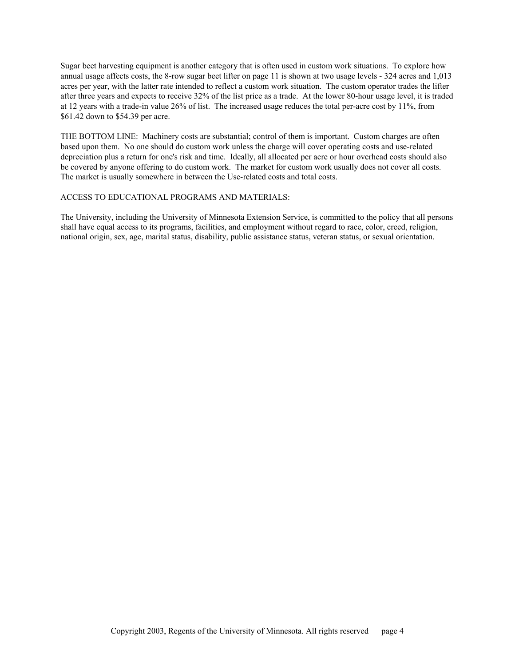Sugar beet harvesting equipment is another category that is often used in custom work situations. To explore how annual usage affects costs, the 8-row sugar beet lifter on page 11 is shown at two usage levels - 324 acres and 1,013 acres per year, with the latter rate intended to reflect a custom work situation. The custom operator trades the lifter after three years and expects to receive 32% of the list price as a trade. At the lower 80-hour usage level, it is traded at 12 years with a trade-in value 26% of list. The increased usage reduces the total per-acre cost by 11%, from \$61.42 down to \$54.39 per acre.

THE BOTTOM LINE: Machinery costs are substantial; control of them is important. Custom charges are often based upon them. No one should do custom work unless the charge will cover operating costs and use-related depreciation plus a return for one's risk and time. Ideally, all allocated per acre or hour overhead costs should also be covered by anyone offering to do custom work. The market for custom work usually does not cover all costs. The market is usually somewhere in between the Use-related costs and total costs.

## ACCESS TO EDUCATIONAL PROGRAMS AND MATERIALS:

The University, including the University of Minnesota Extension Service, is committed to the policy that all persons shall have equal access to its programs, facilities, and employment without regard to race, color, creed, religion, national origin, sex, age, marital status, disability, public assistance status, veteran status, or sexual orientation.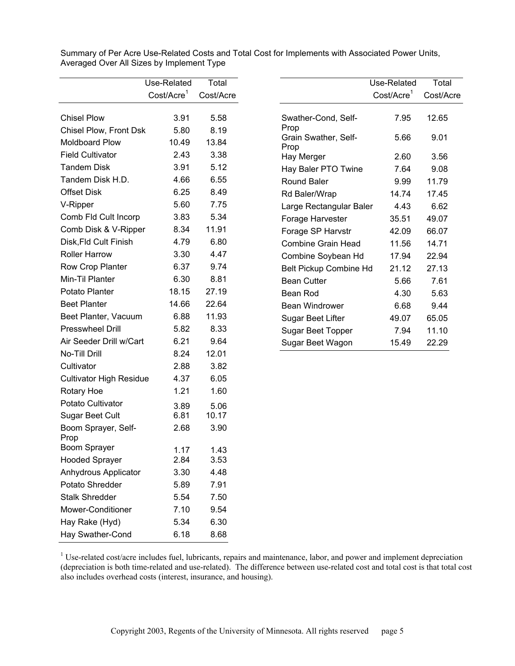|                                | Use-Related            | Total     |
|--------------------------------|------------------------|-----------|
|                                | Cost/Acre <sup>1</sup> | Cost/Acre |
|                                |                        |           |
| <b>Chisel Plow</b>             | 3.91                   | 5.58      |
| Chisel Plow, Front Dsk         | 5.80                   | 8.19      |
| <b>Moldboard Plow</b>          | 10.49                  | 13.84     |
| <b>Field Cultivator</b>        | 2.43                   | 3.38      |
| <b>Tandem Disk</b>             | 3.91                   | 5.12      |
| Tandem Disk H.D.               | 4.66                   | 6.55      |
| <b>Offset Disk</b>             | 6.25                   | 8.49      |
| V-Ripper                       | 5.60                   | 7.75      |
| Comb Fld Cult Incorp           | 3.83                   | 5.34      |
| Comb Disk & V-Ripper           | 8.34                   | 11.91     |
| Disk, Fld Cult Finish          | 4.79                   | 6.80      |
| <b>Roller Harrow</b>           | 3.30                   | 4.47      |
| Row Crop Planter               | 6.37                   | 9.74      |
| Min-Til Planter                | 6.30                   | 8.81      |
| Potato Planter                 | 18.15                  | 27.19     |
| <b>Beet Planter</b>            | 14.66                  | 22.64     |
| Beet Planter, Vacuum           | 6.88                   | 11.93     |
| <b>Presswheel Drill</b>        | 5.82                   | 8.33      |
| Air Seeder Drill w/Cart        | 6.21                   | 9.64      |
| No-Till Drill                  | 8.24                   | 12.01     |
| Cultivator                     | 2.88                   | 3.82      |
| <b>Cultivator High Residue</b> | 4.37                   | 6.05      |
| Rotary Hoe                     | 1.21                   | 1.60      |
| Potato Cultivator              | 3.89                   | 5.06      |
| <b>Sugar Beet Cult</b>         | 6.81                   | 10.17     |
| Boom Sprayer, Self-<br>Prop    | 2.68                   | 3.90      |
| Boom Sprayer                   | 1.17                   | 1.43      |
| <b>Hooded Sprayer</b>          | 2.84                   | 3.53      |
| Anhydrous Applicator           | 3.30                   | 4.48      |
| Potato Shredder                | 5.89                   | 7.91      |
| <b>Stalk Shredder</b>          | 5.54                   | 7.50      |
| <b>Mower-Conditioner</b>       | 7.10                   | 9.54      |
| Hay Rake (Hyd)                 | 5.34                   | 6.30      |
| Hay Swather-Cond               | 6.18                   | 8.68      |

Summary of Per Acre Use-Related Costs and Total Cost for Implements with Associated Power Units, Averaged Over All Sizes by Implement Type

|                               | Use-Related            | Total     |
|-------------------------------|------------------------|-----------|
|                               | Cost/Acre <sup>1</sup> | Cost/Acre |
| Swather-Cond, Self-<br>Prop   | 7.95                   | 12.65     |
| Grain Swather, Self-<br>Prop  | 5.66                   | 9.01      |
| Hay Merger                    | 2.60                   | 3.56      |
| Hay Baler PTO Twine           | 7.64                   | 9.08      |
| Round Baler                   | 9.99                   | 11.79     |
| Rd Baler/Wrap                 | 14.74                  | 17.45     |
| Large Rectangular Baler       | 4.43                   | 6.62      |
| Forage Harvester              | 35.51                  | 49.07     |
| Forage SP Harvstr             | 42.09                  | 66.07     |
| Combine Grain Head            | 11.56                  | 14.71     |
| Combine Soybean Hd            | 17.94                  | 22.94     |
| <b>Belt Pickup Combine Hd</b> | 21.12                  | 27.13     |
| Bean Cutter                   | 5.66                   | 7.61      |
| Bean Rod                      | 4.30                   | 5.63      |
| Bean Windrower                | 6.68                   | 9.44      |
| Sugar Beet Lifter             | 49.07                  | 65.05     |
| Sugar Beet Topper             | 7.94                   | 11.10     |
| Sugar Beet Wagon              | 15.49                  | 22.29     |

 $1$ <sup>1</sup> Use-related cost/acre includes fuel, lubricants, repairs and maintenance, labor, and power and implement depreciation (depreciation is both time-related and use-related). The difference between use-related cost and total cost is that total cost also includes overhead costs (interest, insurance, and housing).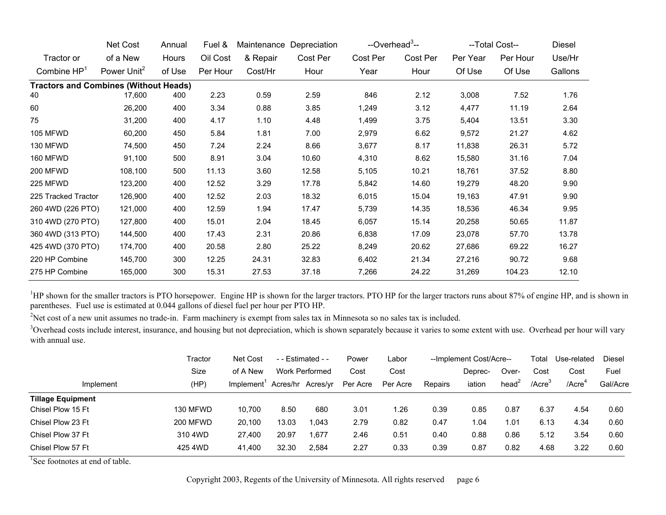|                                              | Net Cost                | Annual | Fuel &   | Maintenance | Depreciation | --Overhead <sup>3</sup> -- |          |          | --Total Cost-- | Diesel  |
|----------------------------------------------|-------------------------|--------|----------|-------------|--------------|----------------------------|----------|----------|----------------|---------|
| Tractor or                                   | of a New                | Hours  | Oil Cost | & Repair    | Cost Per     | Cost Per                   | Cost Per | Per Year | Per Hour       | Use/Hr  |
| Combine $HP1$                                | Power Unit <sup>2</sup> | of Use | Per Hour | Cost/Hr     | Hour         | Year                       | Hour     | Of Use   | Of Use         | Gallons |
| <b>Tractors and Combines (Without Heads)</b> |                         |        |          |             |              |                            |          |          |                |         |
| 40                                           | 17,600                  | 400    | 2.23     | 0.59        | 2.59         | 846                        | 2.12     | 3,008    | 7.52           | 1.76    |
| 60                                           | 26,200                  | 400    | 3.34     | 0.88        | 3.85         | 1,249                      | 3.12     | 4,477    | 11.19          | 2.64    |
| 75                                           | 31,200                  | 400    | 4.17     | 1.10        | 4.48         | 1,499                      | 3.75     | 5,404    | 13.51          | 3.30    |
| 105 MFWD                                     | 60,200                  | 450    | 5.84     | 1.81        | 7.00         | 2,979                      | 6.62     | 9,572    | 21.27          | 4.62    |
| 130 MFWD                                     | 74,500                  | 450    | 7.24     | 2.24        | 8.66         | 3,677                      | 8.17     | 11,838   | 26.31          | 5.72    |
| 160 MFWD                                     | 91,100                  | 500    | 8.91     | 3.04        | 10.60        | 4,310                      | 8.62     | 15,580   | 31.16          | 7.04    |
| 200 MFWD                                     | 108,100                 | 500    | 11.13    | 3.60        | 12.58        | 5,105                      | 10.21    | 18,761   | 37.52          | 8.80    |
| 225 MFWD                                     | 123,200                 | 400    | 12.52    | 3.29        | 17.78        | 5,842                      | 14.60    | 19,279   | 48.20          | 9.90    |
| 225 Tracked Tractor                          | 126,900                 | 400    | 12.52    | 2.03        | 18.32        | 6,015                      | 15.04    | 19,163   | 47.91          | 9.90    |
| 260 4WD (226 PTO)                            | 121,000                 | 400    | 12.59    | 1.94        | 17.47        | 5,739                      | 14.35    | 18,536   | 46.34          | 9.95    |
| 310 4WD (270 PTO)                            | 127,800                 | 400    | 15.01    | 2.04        | 18.45        | 6,057                      | 15.14    | 20,258   | 50.65          | 11.87   |
| 360 4WD (313 PTO)                            | 144,500                 | 400    | 17.43    | 2.31        | 20.86        | 6,838                      | 17.09    | 23,078   | 57.70          | 13.78   |
| 425 4WD (370 PTO)                            | 174,700                 | 400    | 20.58    | 2.80        | 25.22        | 8,249                      | 20.62    | 27,686   | 69.22          | 16.27   |
| 220 HP Combine                               | 145,700                 | 300    | 12.25    | 24.31       | 32.83        | 6,402                      | 21.34    | 27,216   | 90.72          | 9.68    |
| 275 HP Combine                               | 165,000                 | 300    | 15.31    | 27.53       | 37.18        | 7,266                      | 24.22    | 31,269   | 104.23         | 12.10   |

<sup>1</sup>HP shown for the smaller tractors is PTO horsepower. Engine HP is shown for the larger tractors. PTO HP for the larger tractors runs about 87% of engine HP, and is shown in parentheses. Fuel use is estimated at 0.044 gallons of diesel fuel per hour per PTO HP.

<sup>2</sup>Net cost of a new unit assumes no trade-in. Farm machinery is exempt from sales tax in Minnesota so no sales tax is included.

<sup>3</sup>Overhead costs include interest, insurance, and housing but not depreciation, which is shown separately because it varies to some extent with use. Overhead per hour will vary with annual use.

|                          | Tractor         | Net Cost               | $-$ - Estimated $-$ |                | Power    | Labor    |         | --Implement Cost/Acre-- |                   | Гоtal               | Use-related  | <b>Diesel</b> |
|--------------------------|-----------------|------------------------|---------------------|----------------|----------|----------|---------|-------------------------|-------------------|---------------------|--------------|---------------|
|                          | Size            | of A New               |                     | Work Performed | Cost     | Cost     |         | Deprec-                 | Over-             | Cost                | Cost         | Fuel          |
| Implement                | (HP)            | Implement <sup>'</sup> | Acres/hr            | Acres/yr       | Per Acre | Per Acre | Repairs | iation                  | head <sup>2</sup> | $/$ Acre $^{\circ}$ | $/$ Acre $4$ | Gal/Acre      |
| <b>Tillage Equipment</b> |                 |                        |                     |                |          |          |         |                         |                   |                     |              |               |
| Chisel Plow 15 Ft        | 130 MFWD        | 10,700                 | 8.50                | 680            | 3.01     | 1.26     | 0.39    | 0.85                    | 0.87              | 6.37                | 4.54         | 0.60          |
| Chisel Plow 23 Ft        | <b>200 MFWD</b> | 20.100                 | 13.03               | 1.043          | 2.79     | 0.82     | 0.47    | . .04                   | 1.01              | 6.13                | 4.34         | 0.60          |
| Chisel Plow 37 Ft        | 310 4WD         | 27.400                 | 20.97               | 1.677          | 2.46     | 0.51     | 0.40    | 0.88                    | 0.86              | 5.12                | 3.54         | 0.60          |
| Chisel Plow 57 Ft        | 425 4WD         | 41,400                 | 32.30               | 2.584          | 2.27     | 0.33     | 0.39    | 0.87                    | 0.82              | 4.68                | 3.22         | 0.60          |

<sup>1</sup>See footnotes at end of table.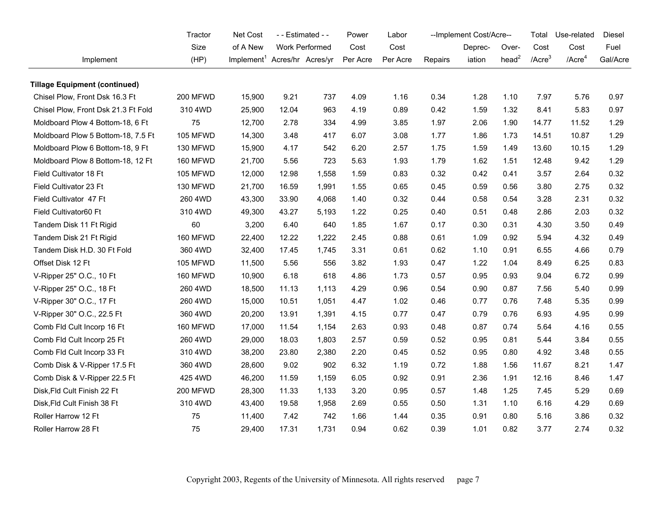|                                      | Tractor         | Net Cost<br>- - Estimated - -            |       | Power          | Labor    |          | --Implement Cost/Acre-- |         | Total             | Use-related  | Diesel             |          |
|--------------------------------------|-----------------|------------------------------------------|-------|----------------|----------|----------|-------------------------|---------|-------------------|--------------|--------------------|----------|
|                                      | Size            | of A New                                 |       | Work Performed | Cost     | Cost     |                         | Deprec- | Over-             | Cost         | Cost               | Fuel     |
| Implement                            | (HP)            | Implement <sup>1</sup> Acres/hr Acres/yr |       |                | Per Acre | Per Acre | Repairs                 | iation  | head <sup>2</sup> | $/$ Acre $3$ | /Acre <sup>4</sup> | Gal/Acre |
| <b>Tillage Equipment (continued)</b> |                 |                                          |       |                |          |          |                         |         |                   |              |                    |          |
| Chisel Plow, Front Dsk 16.3 Ft       | 200 MFWD        | 15,900                                   | 9.21  | 737            | 4.09     | 1.16     | 0.34                    | 1.28    | 1.10              | 7.97         | 5.76               | 0.97     |
| Chisel Plow, Front Dsk 21.3 Ft Fold  | 310 4WD         | 25,900                                   | 12.04 | 963            | 4.19     | 0.89     | 0.42                    | 1.59    | 1.32              | 8.41         | 5.83               | 0.97     |
| Moldboard Plow 4 Bottom-18, 6 Ft     | 75              | 12,700                                   | 2.78  | 334            | 4.99     | 3.85     | 1.97                    | 2.06    | 1.90              | 14.77        | 11.52              | 1.29     |
| Moldboard Plow 5 Bottom-18, 7.5 Ft   | 105 MFWD        | 14,300                                   | 3.48  | 417            | 6.07     | 3.08     | 1.77                    | 1.86    | 1.73              | 14.51        | 10.87              | 1.29     |
| Moldboard Plow 6 Bottom-18, 9 Ft     | 130 MFWD        | 15,900                                   | 4.17  | 542            | 6.20     | 2.57     | 1.75                    | 1.59    | 1.49              | 13.60        | 10.15              | 1.29     |
| Moldboard Plow 8 Bottom-18, 12 Ft    | 160 MFWD        | 21,700                                   | 5.56  | 723            | 5.63     | 1.93     | 1.79                    | 1.62    | 1.51              | 12.48        | 9.42               | 1.29     |
| Field Cultivator 18 Ft               | <b>105 MFWD</b> | 12,000                                   | 12.98 | 1,558          | 1.59     | 0.83     | 0.32                    | 0.42    | 0.41              | 3.57         | 2.64               | 0.32     |
| Field Cultivator 23 Ft               | 130 MFWD        | 21,700                                   | 16.59 | 1,991          | 1.55     | 0.65     | 0.45                    | 0.59    | 0.56              | 3.80         | 2.75               | 0.32     |
| Field Cultivator 47 Ft               | 260 4WD         | 43,300                                   | 33.90 | 4,068          | 1.40     | 0.32     | 0.44                    | 0.58    | 0.54              | 3.28         | 2.31               | 0.32     |
| Field Cultivator60 Ft                | 310 4WD         | 49,300                                   | 43.27 | 5,193          | 1.22     | 0.25     | 0.40                    | 0.51    | 0.48              | 2.86         | 2.03               | 0.32     |
| Tandem Disk 11 Ft Rigid              | 60              | 3,200                                    | 6.40  | 640            | 1.85     | 1.67     | 0.17                    | 0.30    | 0.31              | 4.30         | 3.50               | 0.49     |
| Tandem Disk 21 Ft Rigid              | 160 MFWD        | 22,400                                   | 12.22 | 1,222          | 2.45     | 0.88     | 0.61                    | 1.09    | 0.92              | 5.94         | 4.32               | 0.49     |
| Tandem Disk H.D. 30 Ft Fold          | 360 4WD         | 32,400                                   | 17.45 | 1,745          | 3.31     | 0.61     | 0.62                    | 1.10    | 0.91              | 6.55         | 4.66               | 0.79     |
| Offset Disk 12 Ft                    | 105 MFWD        | 11,500                                   | 5.56  | 556            | 3.82     | 1.93     | 0.47                    | 1.22    | 1.04              | 8.49         | 6.25               | 0.83     |
| V-Ripper 25" O.C., 10 Ft             | 160 MFWD        | 10,900                                   | 6.18  | 618            | 4.86     | 1.73     | 0.57                    | 0.95    | 0.93              | 9.04         | 6.72               | 0.99     |
| V-Ripper 25" O.C., 18 Ft             | 260 4WD         | 18,500                                   | 11.13 | 1,113          | 4.29     | 0.96     | 0.54                    | 0.90    | 0.87              | 7.56         | 5.40               | 0.99     |
| V-Ripper 30" O.C., 17 Ft             | 260 4WD         | 15,000                                   | 10.51 | 1,051          | 4.47     | 1.02     | 0.46                    | 0.77    | 0.76              | 7.48         | 5.35               | 0.99     |
| V-Ripper 30" O.C., 22.5 Ft           | 360 4WD         | 20,200                                   | 13.91 | 1,391          | 4.15     | 0.77     | 0.47                    | 0.79    | 0.76              | 6.93         | 4.95               | 0.99     |
| Comb Fld Cult Incorp 16 Ft           | 160 MFWD        | 17,000                                   | 11.54 | 1,154          | 2.63     | 0.93     | 0.48                    | 0.87    | 0.74              | 5.64         | 4.16               | 0.55     |
| Comb Fld Cult Incorp 25 Ft           | 260 4WD         | 29,000                                   | 18.03 | 1,803          | 2.57     | 0.59     | 0.52                    | 0.95    | 0.81              | 5.44         | 3.84               | 0.55     |
| Comb Fld Cult Incorp 33 Ft           | 310 4WD         | 38,200                                   | 23.80 | 2,380          | 2.20     | 0.45     | 0.52                    | 0.95    | 0.80              | 4.92         | 3.48               | 0.55     |
| Comb Disk & V-Ripper 17.5 Ft         | 360 4WD         | 28,600                                   | 9.02  | 902            | 6.32     | 1.19     | 0.72                    | 1.88    | 1.56              | 11.67        | 8.21               | 1.47     |
| Comb Disk & V-Ripper 22.5 Ft         | 425 4WD         | 46,200                                   | 11.59 | 1,159          | 6.05     | 0.92     | 0.91                    | 2.36    | 1.91              | 12.16        | 8.46               | 1.47     |
| Disk, Fld Cult Finish 22 Ft          | <b>200 MFWD</b> | 28,300                                   | 11.33 | 1,133          | 3.20     | 0.95     | 0.57                    | 1.48    | 1.25              | 7.45         | 5.29               | 0.69     |
| Disk, Fld Cult Finish 38 Ft          | 310 4WD         | 43,400                                   | 19.58 | 1,958          | 2.69     | 0.55     | 0.50                    | 1.31    | 1.10              | 6.16         | 4.29               | 0.69     |
| Roller Harrow 12 Ft                  | 75              | 11,400                                   | 7.42  | 742            | 1.66     | 1.44     | 0.35                    | 0.91    | 0.80              | 5.16         | 3.86               | 0.32     |
| Roller Harrow 28 Ft                  | 75              | 29,400                                   | 17.31 | 1,731          | 0.94     | 0.62     | 0.39                    | 1.01    | 0.82              | 3.77         | 2.74               | 0.32     |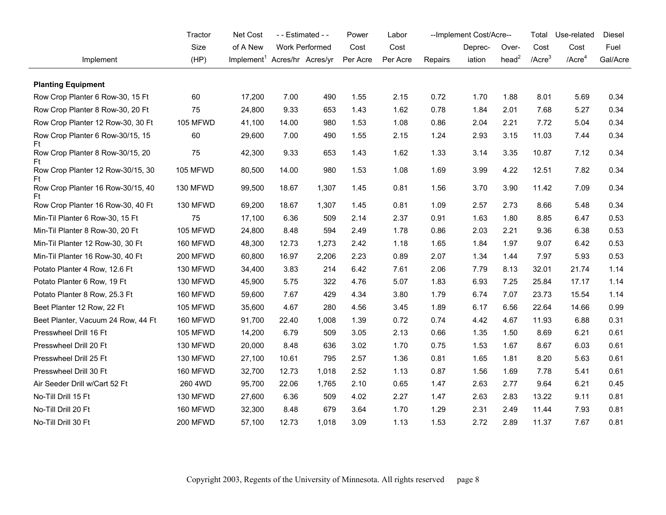|                                         | Tractor         | Net Cost<br>- - Estimated - -            |       | Power                 | Labor    |          | --Implement Cost/Acre-- |         | Total             | Use-related  | Diesel       |          |
|-----------------------------------------|-----------------|------------------------------------------|-------|-----------------------|----------|----------|-------------------------|---------|-------------------|--------------|--------------|----------|
|                                         | Size            | of A New                                 |       | <b>Work Performed</b> | Cost     | Cost     |                         | Deprec- | Over-             | Cost         | Cost         | Fuel     |
| Implement                               | (HP)            | Implement <sup>1</sup> Acres/hr Acres/yr |       |                       | Per Acre | Per Acre | Repairs                 | iation  | head <sup>2</sup> | $/$ Acre $3$ | $/$ Acre $4$ | Gal/Acre |
| <b>Planting Equipment</b>               |                 |                                          |       |                       |          |          |                         |         |                   |              |              |          |
| Row Crop Planter 6 Row-30, 15 Ft        | 60              | 17,200                                   | 7.00  | 490                   | 1.55     | 2.15     | 0.72                    | 1.70    | 1.88              | 8.01         | 5.69         | 0.34     |
| Row Crop Planter 8 Row-30, 20 Ft        | 75              | 24,800                                   | 9.33  | 653                   | 1.43     | 1.62     | 0.78                    | 1.84    | 2.01              | 7.68         | 5.27         | 0.34     |
| Row Crop Planter 12 Row-30, 30 Ft       | 105 MFWD        | 41,100                                   | 14.00 | 980                   | 1.53     | 1.08     | 0.86                    | 2.04    | 2.21              | 7.72         | 5.04         | 0.34     |
| Row Crop Planter 6 Row-30/15, 15<br>Ft  | 60              | 29,600                                   | 7.00  | 490                   | 1.55     | 2.15     | 1.24                    | 2.93    | 3.15              | 11.03        | 7.44         | 0.34     |
| Row Crop Planter 8 Row-30/15, 20<br>Ft  | 75              | 42,300                                   | 9.33  | 653                   | 1.43     | 1.62     | 1.33                    | 3.14    | 3.35              | 10.87        | 7.12         | 0.34     |
| Row Crop Planter 12 Row-30/15, 30<br>Ft | 105 MFWD        | 80,500                                   | 14.00 | 980                   | 1.53     | 1.08     | 1.69                    | 3.99    | 4.22              | 12.51        | 7.82         | 0.34     |
| Row Crop Planter 16 Row-30/15, 40<br>Ft | 130 MFWD        | 99,500                                   | 18.67 | 1,307                 | 1.45     | 0.81     | 1.56                    | 3.70    | 3.90              | 11.42        | 7.09         | 0.34     |
| Row Crop Planter 16 Row-30, 40 Ft       | 130 MFWD        | 69,200                                   | 18.67 | 1,307                 | 1.45     | 0.81     | 1.09                    | 2.57    | 2.73              | 8.66         | 5.48         | 0.34     |
| Min-Til Planter 6 Row-30, 15 Ft         | 75              | 17,100                                   | 6.36  | 509                   | 2.14     | 2.37     | 0.91                    | 1.63    | 1.80              | 8.85         | 6.47         | 0.53     |
| Min-Til Planter 8 Row-30, 20 Ft         | 105 MFWD        | 24,800                                   | 8.48  | 594                   | 2.49     | 1.78     | 0.86                    | 2.03    | 2.21              | 9.36         | 6.38         | 0.53     |
| Min-Til Planter 12 Row-30, 30 Ft        | 160 MFWD        | 48,300                                   | 12.73 | 1,273                 | 2.42     | 1.18     | 1.65                    | 1.84    | 1.97              | 9.07         | 6.42         | 0.53     |
| Min-Til Planter 16 Row-30, 40 Ft        | 200 MFWD        | 60,800                                   | 16.97 | 2,206                 | 2.23     | 0.89     | 2.07                    | 1.34    | 1.44              | 7.97         | 5.93         | 0.53     |
| Potato Planter 4 Row, 12.6 Ft           | 130 MFWD        | 34,400                                   | 3.83  | 214                   | 6.42     | 7.61     | 2.06                    | 7.79    | 8.13              | 32.01        | 21.74        | 1.14     |
| Potato Planter 6 Row, 19 Ft             | 130 MFWD        | 45,900                                   | 5.75  | 322                   | 4.76     | 5.07     | 1.83                    | 6.93    | 7.25              | 25.84        | 17.17        | 1.14     |
| Potato Planter 8 Row, 25.3 Ft           | 160 MFWD        | 59,600                                   | 7.67  | 429                   | 4.34     | 3.80     | 1.79                    | 6.74    | 7.07              | 23.73        | 15.54        | 1.14     |
| Beet Planter 12 Row, 22 Ft              | 105 MFWD        | 35,600                                   | 4.67  | 280                   | 4.56     | 3.45     | 1.89                    | 6.17    | 6.56              | 22.64        | 14.66        | 0.99     |
| Beet Planter, Vacuum 24 Row, 44 Ft      | 160 MFWD        | 91,700                                   | 22.40 | 1,008                 | 1.39     | 0.72     | 0.74                    | 4.42    | 4.67              | 11.93        | 6.88         | 0.31     |
| Presswheel Drill 16 Ft                  | <b>105 MFWD</b> | 14,200                                   | 6.79  | 509                   | 3.05     | 2.13     | 0.66                    | 1.35    | 1.50              | 8.69         | 6.21         | 0.61     |
| Presswheel Drill 20 Ft                  | 130 MFWD        | 20,000                                   | 8.48  | 636                   | 3.02     | 1.70     | 0.75                    | 1.53    | 1.67              | 8.67         | 6.03         | 0.61     |
| Presswheel Drill 25 Ft                  | 130 MFWD        | 27,100                                   | 10.61 | 795                   | 2.57     | 1.36     | 0.81                    | 1.65    | 1.81              | 8.20         | 5.63         | 0.61     |
| Presswheel Drill 30 Ft                  | <b>160 MFWD</b> | 32,700                                   | 12.73 | 1,018                 | 2.52     | 1.13     | 0.87                    | 1.56    | 1.69              | 7.78         | 5.41         | 0.61     |
| Air Seeder Drill w/Cart 52 Ft           | 260 4WD         | 95,700                                   | 22.06 | 1,765                 | 2.10     | 0.65     | 1.47                    | 2.63    | 2.77              | 9.64         | 6.21         | 0.45     |
| No-Till Drill 15 Ft                     | 130 MFWD        | 27,600                                   | 6.36  | 509                   | 4.02     | 2.27     | 1.47                    | 2.63    | 2.83              | 13.22        | 9.11         | 0.81     |
| No-Till Drill 20 Ft                     | 160 MFWD        | 32,300                                   | 8.48  | 679                   | 3.64     | 1.70     | 1.29                    | 2.31    | 2.49              | 11.44        | 7.93         | 0.81     |
| No-Till Drill 30 Ft                     | 200 MFWD        | 57,100                                   | 12.73 | 1,018                 | 3.09     | 1.13     | 1.53                    | 2.72    | 2.89              | 11.37        | 7.67         | 0.81     |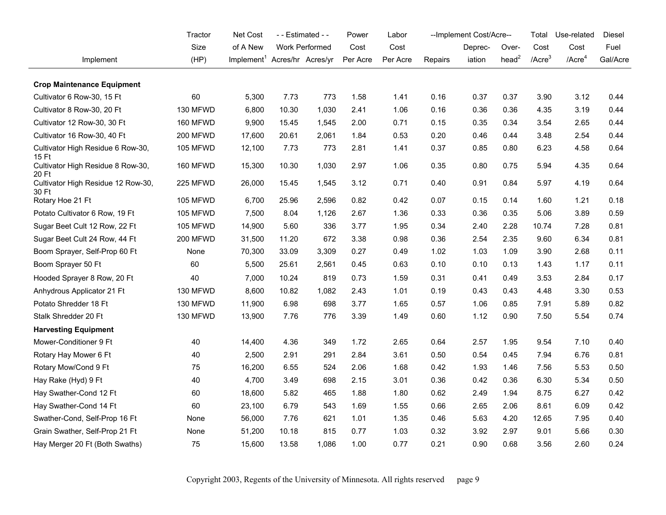|                                             | Tractor         | Net Cost                                 |       | - - Estimated - - | Power    | Labor    |         | --Implement Cost/Acre-- |                   | Total        | Use-related  | Diesel   |
|---------------------------------------------|-----------------|------------------------------------------|-------|-------------------|----------|----------|---------|-------------------------|-------------------|--------------|--------------|----------|
|                                             | Size            | of A New                                 |       | Work Performed    | Cost     | Cost     |         | Deprec-                 | Over-             | Cost         | Cost         | Fuel     |
| Implement                                   | (HP)            | Implement <sup>1</sup> Acres/hr Acres/yr |       |                   | Per Acre | Per Acre | Repairs | iation                  | head <sup>2</sup> | $/$ Acre $3$ | $/$ Acre $4$ | Gal/Acre |
| <b>Crop Maintenance Equipment</b>           |                 |                                          |       |                   |          |          |         |                         |                   |              |              |          |
| Cultivator 6 Row-30, 15 Ft                  | 60              | 5,300                                    | 7.73  | 773               | 1.58     | 1.41     | 0.16    | 0.37                    | 0.37              | 3.90         | 3.12         | 0.44     |
| Cultivator 8 Row-30, 20 Ft                  | 130 MFWD        | 6,800                                    | 10.30 | 1,030             | 2.41     | 1.06     | 0.16    | 0.36                    | 0.36              | 4.35         | 3.19         | 0.44     |
| Cultivator 12 Row-30, 30 Ft                 | 160 MFWD        | 9,900                                    | 15.45 | 1,545             | 2.00     | 0.71     | 0.15    | 0.35                    | 0.34              | 3.54         | 2.65         | 0.44     |
| Cultivator 16 Row-30, 40 Ft                 | 200 MFWD        | 17,600                                   | 20.61 | 2,061             | 1.84     | 0.53     | 0.20    | 0.46                    | 0.44              | 3.48         | 2.54         | 0.44     |
| Cultivator High Residue 6 Row-30,<br>15 Ft  | 105 MFWD        | 12,100                                   | 7.73  | 773               | 2.81     | 1.41     | 0.37    | 0.85                    | 0.80              | 6.23         | 4.58         | 0.64     |
| Cultivator High Residue 8 Row-30,<br>20 Ft  | 160 MFWD        | 15,300                                   | 10.30 | 1,030             | 2.97     | 1.06     | 0.35    | 0.80                    | 0.75              | 5.94         | 4.35         | 0.64     |
| Cultivator High Residue 12 Row-30,<br>30 Ft | 225 MFWD        | 26,000                                   | 15.45 | 1,545             | 3.12     | 0.71     | 0.40    | 0.91                    | 0.84              | 5.97         | 4.19         | 0.64     |
| Rotary Hoe 21 Ft                            | 105 MFWD        | 6,700                                    | 25.96 | 2,596             | 0.82     | 0.42     | 0.07    | 0.15                    | 0.14              | 1.60         | 1.21         | 0.18     |
| Potato Cultivator 6 Row, 19 Ft              | <b>105 MFWD</b> | 7,500                                    | 8.04  | 1,126             | 2.67     | 1.36     | 0.33    | 0.36                    | 0.35              | 5.06         | 3.89         | 0.59     |
| Sugar Beet Cult 12 Row, 22 Ft               | <b>105 MFWD</b> | 14,900                                   | 5.60  | 336               | 3.77     | 1.95     | 0.34    | 2.40                    | 2.28              | 10.74        | 7.28         | 0.81     |
| Sugar Beet Cult 24 Row, 44 Ft               | 200 MFWD        | 31,500                                   | 11.20 | 672               | 3.38     | 0.98     | 0.36    | 2.54                    | 2.35              | 9.60         | 6.34         | 0.81     |
| Boom Sprayer, Self-Prop 60 Ft               | None            | 70,300                                   | 33.09 | 3,309             | 0.27     | 0.49     | 1.02    | 1.03                    | 1.09              | 3.90         | 2.68         | 0.11     |
| Boom Sprayer 50 Ft                          | 60              | 5,500                                    | 25.61 | 2,561             | 0.45     | 0.63     | 0.10    | 0.10                    | 0.13              | 1.43         | 1.17         | 0.11     |
| Hooded Sprayer 8 Row, 20 Ft                 | 40              | 7,000                                    | 10.24 | 819               | 0.73     | 1.59     | 0.31    | 0.41                    | 0.49              | 3.53         | 2.84         | 0.17     |
| Anhydrous Applicator 21 Ft                  | 130 MFWD        | 8,600                                    | 10.82 | 1,082             | 2.43     | 1.01     | 0.19    | 0.43                    | 0.43              | 4.48         | 3.30         | 0.53     |
| Potato Shredder 18 Ft                       | 130 MFWD        | 11,900                                   | 6.98  | 698               | 3.77     | 1.65     | 0.57    | 1.06                    | 0.85              | 7.91         | 5.89         | 0.82     |
| Stalk Shredder 20 Ft                        | 130 MFWD        | 13,900                                   | 7.76  | 776               | 3.39     | 1.49     | 0.60    | 1.12                    | 0.90              | 7.50         | 5.54         | 0.74     |
| <b>Harvesting Equipment</b>                 |                 |                                          |       |                   |          |          |         |                         |                   |              |              |          |
| Mower-Conditioner 9 Ft                      | 40              | 14,400                                   | 4.36  | 349               | 1.72     | 2.65     | 0.64    | 2.57                    | 1.95              | 9.54         | 7.10         | 0.40     |
| Rotary Hay Mower 6 Ft                       | 40              | 2,500                                    | 2.91  | 291               | 2.84     | 3.61     | 0.50    | 0.54                    | 0.45              | 7.94         | 6.76         | 0.81     |
| Rotary Mow/Cond 9 Ft                        | 75              | 16,200                                   | 6.55  | 524               | 2.06     | 1.68     | 0.42    | 1.93                    | 1.46              | 7.56         | 5.53         | 0.50     |
| Hay Rake (Hyd) 9 Ft                         | 40              | 4,700                                    | 3.49  | 698               | 2.15     | 3.01     | 0.36    | 0.42                    | 0.36              | 6.30         | 5.34         | 0.50     |
| Hay Swather-Cond 12 Ft                      | 60              | 18,600                                   | 5.82  | 465               | 1.88     | 1.80     | 0.62    | 2.49                    | 1.94              | 8.75         | 6.27         | 0.42     |
| Hay Swather-Cond 14 Ft                      | 60              | 23,100                                   | 6.79  | 543               | 1.69     | 1.55     | 0.66    | 2.65                    | 2.06              | 8.61         | 6.09         | 0.42     |
| Swather-Cond, Self-Prop 16 Ft               | None            | 56,000                                   | 7.76  | 621               | 1.01     | 1.35     | 0.46    | 5.63                    | 4.20              | 12.65        | 7.95         | 0.40     |
| Grain Swather, Self-Prop 21 Ft              | None            | 51,200                                   | 10.18 | 815               | 0.77     | 1.03     | 0.32    | 3.92                    | 2.97              | 9.01         | 5.66         | 0.30     |
| Hay Merger 20 Ft (Both Swaths)              | 75              | 15,600                                   | 13.58 | 1,086             | 1.00     | 0.77     | 0.21    | 0.90                    | 0.68              | 3.56         | 2.60         | 0.24     |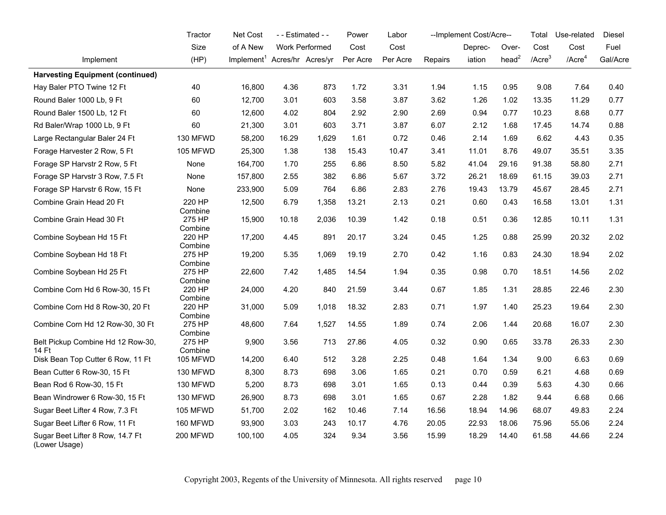|                                                   | Tractor           | Net Cost                                 |       | - - Estimated - -     | Power    | Labor    |         | --Implement Cost/Acre-- |                   | Total        | Use-related  | Diesel   |
|---------------------------------------------------|-------------------|------------------------------------------|-------|-----------------------|----------|----------|---------|-------------------------|-------------------|--------------|--------------|----------|
|                                                   | Size              | of A New                                 |       | <b>Work Performed</b> | Cost     | Cost     |         | Deprec-                 | Over-             | Cost         | Cost         | Fuel     |
| Implement                                         | (HP)              | Implement <sup>1</sup> Acres/hr Acres/yr |       |                       | Per Acre | Per Acre | Repairs | iation                  | head <sup>2</sup> | $/$ Acre $3$ | $/$ Acre $4$ | Gal/Acre |
| <b>Harvesting Equipment (continued)</b>           |                   |                                          |       |                       |          |          |         |                         |                   |              |              |          |
| Hay Baler PTO Twine 12 Ft                         | 40                | 16,800                                   | 4.36  | 873                   | 1.72     | 3.31     | 1.94    | 1.15                    | 0.95              | 9.08         | 7.64         | 0.40     |
| Round Baler 1000 Lb, 9 Ft                         | 60                | 12,700                                   | 3.01  | 603                   | 3.58     | 3.87     | 3.62    | 1.26                    | 1.02              | 13.35        | 11.29        | 0.77     |
| Round Baler 1500 Lb, 12 Ft                        | 60                | 12,600                                   | 4.02  | 804                   | 2.92     | 2.90     | 2.69    | 0.94                    | 0.77              | 10.23        | 8.68         | 0.77     |
| Rd Baler/Wrap 1000 Lb, 9 Ft                       | 60                | 21,300                                   | 3.01  | 603                   | 3.71     | 3.87     | 6.07    | 2.12                    | 1.68              | 17.45        | 14.74        | 0.88     |
| Large Rectangular Baler 24 Ft                     | 130 MFWD          | 58,200                                   | 16.29 | 1,629                 | 1.61     | 0.72     | 0.46    | 2.14                    | 1.69              | 6.62         | 4.43         | 0.35     |
| Forage Harvester 2 Row, 5 Ft                      | 105 MFWD          | 25,300                                   | 1.38  | 138                   | 15.43    | 10.47    | 3.41    | 11.01                   | 8.76              | 49.07        | 35.51        | 3.35     |
| Forage SP Harvstr 2 Row, 5 Ft                     | None              | 164,700                                  | 1.70  | 255                   | 6.86     | 8.50     | 5.82    | 41.04                   | 29.16             | 91.38        | 58.80        | 2.71     |
| Forage SP Harvstr 3 Row, 7.5 Ft                   | None              | 157,800                                  | 2.55  | 382                   | 6.86     | 5.67     | 3.72    | 26.21                   | 18.69             | 61.15        | 39.03        | 2.71     |
| Forage SP Harvstr 6 Row, 15 Ft                    | None              | 233,900                                  | 5.09  | 764                   | 6.86     | 2.83     | 2.76    | 19.43                   | 13.79             | 45.67        | 28.45        | 2.71     |
| Combine Grain Head 20 Ft                          | 220 HP<br>Combine | 12,500                                   | 6.79  | 1,358                 | 13.21    | 2.13     | 0.21    | 0.60                    | 0.43              | 16.58        | 13.01        | 1.31     |
| Combine Grain Head 30 Ft                          | 275 HP<br>Combine | 15,900                                   | 10.18 | 2,036                 | 10.39    | 1.42     | 0.18    | 0.51                    | 0.36              | 12.85        | 10.11        | 1.31     |
| Combine Soybean Hd 15 Ft                          | 220 HP<br>Combine | 17,200                                   | 4.45  | 891                   | 20.17    | 3.24     | 0.45    | 1.25                    | 0.88              | 25.99        | 20.32        | 2.02     |
| Combine Soybean Hd 18 Ft                          | 275 HP<br>Combine | 19,200                                   | 5.35  | 1,069                 | 19.19    | 2.70     | 0.42    | 1.16                    | 0.83              | 24.30        | 18.94        | 2.02     |
| Combine Soybean Hd 25 Ft                          | 275 HP<br>Combine | 22,600                                   | 7.42  | 1,485                 | 14.54    | 1.94     | 0.35    | 0.98                    | 0.70              | 18.51        | 14.56        | 2.02     |
| Combine Corn Hd 6 Row-30, 15 Ft                   | 220 HP<br>Combine | 24,000                                   | 4.20  | 840                   | 21.59    | 3.44     | 0.67    | 1.85                    | 1.31              | 28.85        | 22.46        | 2.30     |
| Combine Corn Hd 8 Row-30, 20 Ft                   | 220 HP<br>Combine | 31,000                                   | 5.09  | 1,018                 | 18.32    | 2.83     | 0.71    | 1.97                    | 1.40              | 25.23        | 19.64        | 2.30     |
| Combine Corn Hd 12 Row-30, 30 Ft                  | 275 HP<br>Combine | 48,600                                   | 7.64  | 1,527                 | 14.55    | 1.89     | 0.74    | 2.06                    | 1.44              | 20.68        | 16.07        | 2.30     |
| Belt Pickup Combine Hd 12 Row-30,<br>14 Ft        | 275 HP<br>Combine | 9,900                                    | 3.56  | 713                   | 27.86    | 4.05     | 0.32    | 0.90                    | 0.65              | 33.78        | 26.33        | 2.30     |
| Disk Bean Top Cutter 6 Row, 11 Ft                 | <b>105 MFWD</b>   | 14,200                                   | 6.40  | 512                   | 3.28     | 2.25     | 0.48    | 1.64                    | 1.34              | 9.00         | 6.63         | 0.69     |
| Bean Cutter 6 Row-30, 15 Ft                       | 130 MFWD          | 8,300                                    | 8.73  | 698                   | 3.06     | 1.65     | 0.21    | 0.70                    | 0.59              | 6.21         | 4.68         | 0.69     |
| Bean Rod 6 Row-30, 15 Ft                          | 130 MFWD          | 5,200                                    | 8.73  | 698                   | 3.01     | 1.65     | 0.13    | 0.44                    | 0.39              | 5.63         | 4.30         | 0.66     |
| Bean Windrower 6 Row-30, 15 Ft                    | 130 MFWD          | 26,900                                   | 8.73  | 698                   | 3.01     | 1.65     | 0.67    | 2.28                    | 1.82              | 9.44         | 6.68         | 0.66     |
| Sugar Beet Lifter 4 Row, 7.3 Ft                   | <b>105 MFWD</b>   | 51,700                                   | 2.02  | 162                   | 10.46    | 7.14     | 16.56   | 18.94                   | 14.96             | 68.07        | 49.83        | 2.24     |
| Sugar Beet Lifter 6 Row, 11 Ft                    | 160 MFWD          | 93,900                                   | 3.03  | 243                   | 10.17    | 4.76     | 20.05   | 22.93                   | 18.06             | 75.96        | 55.06        | 2.24     |
| Sugar Beet Lifter 8 Row, 14.7 Ft<br>(Lower Usage) | 200 MFWD          | 100,100                                  | 4.05  | 324                   | 9.34     | 3.56     | 15.99   | 18.29                   | 14.40             | 61.58        | 44.66        | 2.24     |